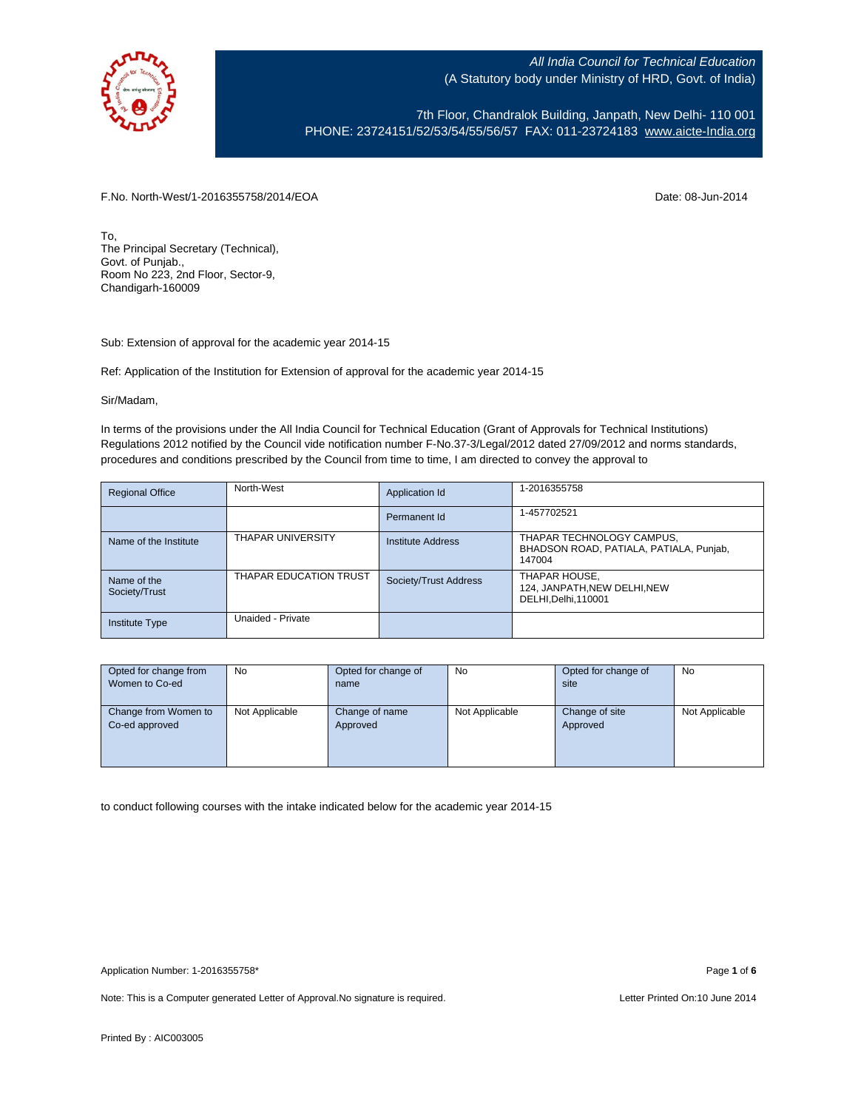

7th Floor, Chandralok Building, Janpath, New Delhi- 110 001 PHONE: 23724151/52/53/54/55/56/57 FAX: 011-23724183 [www.aicte-India.org](http://www.aicte-india.org/)

F.No. North-West/1-2016355758/2014/EOA Date: 08-Jun-2014

To, The Principal Secretary (Technical), Govt. of Punjab., Room No 223, 2nd Floor, Sector-9, Chandigarh-160009

Sub: Extension of approval for the academic year 2014-15

Ref: Application of the Institution for Extension of approval for the academic year 2014-15

Sir/Madam,

In terms of the provisions under the All India Council for Technical Education (Grant of Approvals for Technical Institutions) Regulations 2012 notified by the Council vide notification number F-No.37-3/Legal/2012 dated 27/09/2012 and norms standards, procedures and conditions prescribed by the Council from time to time, I am directed to convey the approval to

| <b>Regional Office</b>       | North-West               | Application Id           | 1-2016355758                                                                   |
|------------------------------|--------------------------|--------------------------|--------------------------------------------------------------------------------|
|                              |                          | Permanent Id             | 1-457702521                                                                    |
| Name of the Institute        | <b>THAPAR UNIVERSITY</b> | <b>Institute Address</b> | THAPAR TECHNOLOGY CAMPUS,<br>BHADSON ROAD, PATIALA, PATIALA, Punjab,<br>147004 |
| Name of the<br>Society/Trust | THAPAR EDUCATION TRUST   | Society/Trust Address    | THAPAR HOUSE,<br>124, JANPATH, NEW DELHI, NEW<br>DELHI, Delhi, 110001          |
| <b>Institute Type</b>        | Unaided - Private        |                          |                                                                                |

| Opted for change from | <b>No</b>      | Opted for change of | <b>No</b>      | Opted for change of | <b>No</b>      |
|-----------------------|----------------|---------------------|----------------|---------------------|----------------|
| Women to Co-ed        |                | name                |                | site                |                |
|                       |                |                     |                |                     |                |
| Change from Women to  | Not Applicable | Change of name      | Not Applicable | Change of site      | Not Applicable |
| Co-ed approved        |                | Approved            |                | Approved            |                |
|                       |                |                     |                |                     |                |
|                       |                |                     |                |                     |                |
|                       |                |                     |                |                     |                |

to conduct following courses with the intake indicated below for the academic year 2014-15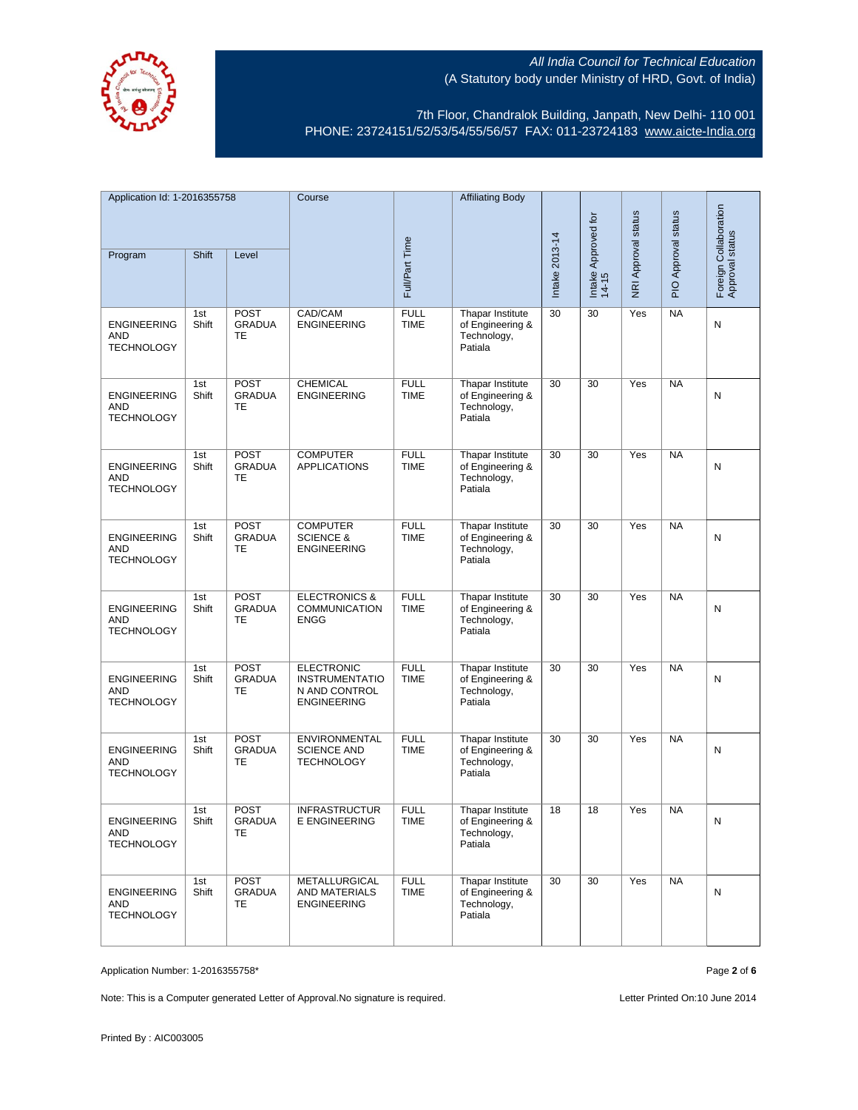

7th Floor, Chandralok Building, Janpath, New Delhi- 110 001 PHONE: 23724151/52/53/54/55/56/57 FAX: 011-23724183 [www.aicte-India.org](http://www.aicte-india.org/)

| Application Id: 1-2016355758                          |              | Course                                    |                                                                                   | <b>Affiliating Body</b>    |                                                                       |                |                              |                     |                     |                                          |
|-------------------------------------------------------|--------------|-------------------------------------------|-----------------------------------------------------------------------------------|----------------------------|-----------------------------------------------------------------------|----------------|------------------------------|---------------------|---------------------|------------------------------------------|
| Program                                               | Shift        | Level                                     |                                                                                   | Full/Part Time             |                                                                       | Intake 2013-14 | Intake Approved for<br>14-15 | NRI Approval status | PIO Approval status | Foreign Collaboration<br>Approval status |
| <b>ENGINEERING</b><br>AND<br><b>TECHNOLOGY</b>        | 1st<br>Shift | <b>POST</b><br><b>GRADUA</b><br>TE        | CAD/CAM<br><b>ENGINEERING</b>                                                     | <b>FULL</b><br><b>TIME</b> | Thapar Institute<br>of Engineering &<br>Technology,<br>Patiala        | 30             | 30                           | Yes                 | <b>NA</b>           | N                                        |
| <b>ENGINEERING</b><br>AND<br><b>TECHNOLOGY</b>        | 1st<br>Shift | <b>POST</b><br><b>GRADUA</b><br>TE        | CHEMICAL<br><b>ENGINEERING</b>                                                    | <b>FULL</b><br><b>TIME</b> | Thapar Institute<br>of Engineering &<br>Technology,<br>Patiala        | 30             | 30                           | Yes                 | <b>NA</b>           | N                                        |
| <b>ENGINEERING</b><br><b>AND</b><br><b>TECHNOLOGY</b> | 1st<br>Shift | <b>POST</b><br><b>GRADUA</b><br>TE        | <b>COMPUTER</b><br><b>APPLICATIONS</b>                                            | <b>FULL</b><br><b>TIME</b> | Thapar Institute<br>of Engineering &<br>Technology,<br>Patiala        | 30             | 30                           | Yes                 | <b>NA</b>           | N                                        |
| <b>ENGINEERING</b><br><b>AND</b><br><b>TECHNOLOGY</b> | 1st<br>Shift | <b>POST</b><br><b>GRADUA</b><br><b>TE</b> | <b>COMPUTER</b><br><b>SCIENCE &amp;</b><br><b>ENGINEERING</b>                     | <b>FULL</b><br><b>TIME</b> | Thapar Institute<br>of Engineering &<br>Technology,<br>Patiala        | 30             | 30                           | Yes                 | <b>NA</b>           | N                                        |
| <b>ENGINEERING</b><br>AND<br><b>TECHNOLOGY</b>        | 1st<br>Shift | <b>POST</b><br><b>GRADUA</b><br>TE        | <b>ELECTRONICS &amp;</b><br><b>COMMUNICATION</b><br><b>ENGG</b>                   | <b>FULL</b><br><b>TIME</b> | Thapar Institute<br>of Engineering &<br>Technology,<br>Patiala        | 30             | 30                           | Yes                 | <b>NA</b>           | Ν                                        |
| <b>ENGINEERING</b><br><b>AND</b><br><b>TECHNOLOGY</b> | 1st<br>Shift | <b>POST</b><br><b>GRADUA</b><br>TE        | <b>ELECTRONIC</b><br><b>INSTRUMENTATIO</b><br>N AND CONTROL<br><b>ENGINEERING</b> | <b>FULL</b><br><b>TIME</b> | Thapar Institute<br>of Engineering &<br>Technology,<br>Patiala        | 30             | 30                           | Yes                 | <b>NA</b>           | N                                        |
| <b>ENGINEERING</b><br>AND<br><b>TECHNOLOGY</b>        | 1st<br>Shift | <b>POST</b><br><b>GRADUA</b><br>TE        | ENVIRONMENTAL<br><b>SCIENCE AND</b><br><b>TECHNOLOGY</b>                          | <b>FULL</b><br><b>TIME</b> | Thapar Institute<br>of Engineering &<br>Technology,<br>Patiala        | 30             | 30                           | Yes                 | <b>NA</b>           | N                                        |
| ENGINEERING<br>AND<br><b>TECHNOLOGY</b>               | 1st<br>Shift | <b>POST</b><br><b>GRADUA</b><br>TE.       | <b>INFRASTRUCTUR</b><br><b>E ENGINEERING</b>                                      | <b>FULL</b><br><b>IIME</b> | <b>Thapar Institute</b><br>of Engineering &<br>Technology,<br>Patiala | 18             | 18                           | Yes                 | <b>NA</b>           | N                                        |
| <b>ENGINEERING</b><br>AND<br><b>TECHNOLOGY</b>        | 1st<br>Shift | <b>POST</b><br><b>GRADUA</b><br>TE        | METALLURGICAL<br>AND MATERIALS<br><b>ENGINEERING</b>                              | <b>FULL</b><br><b>TIME</b> | Thapar Institute<br>of Engineering &<br>Technology,<br>Patiala        | 30             | 30                           | Yes                 | <b>NA</b>           | N                                        |

Application Number: 1-2016355758\* Page **2** of **6**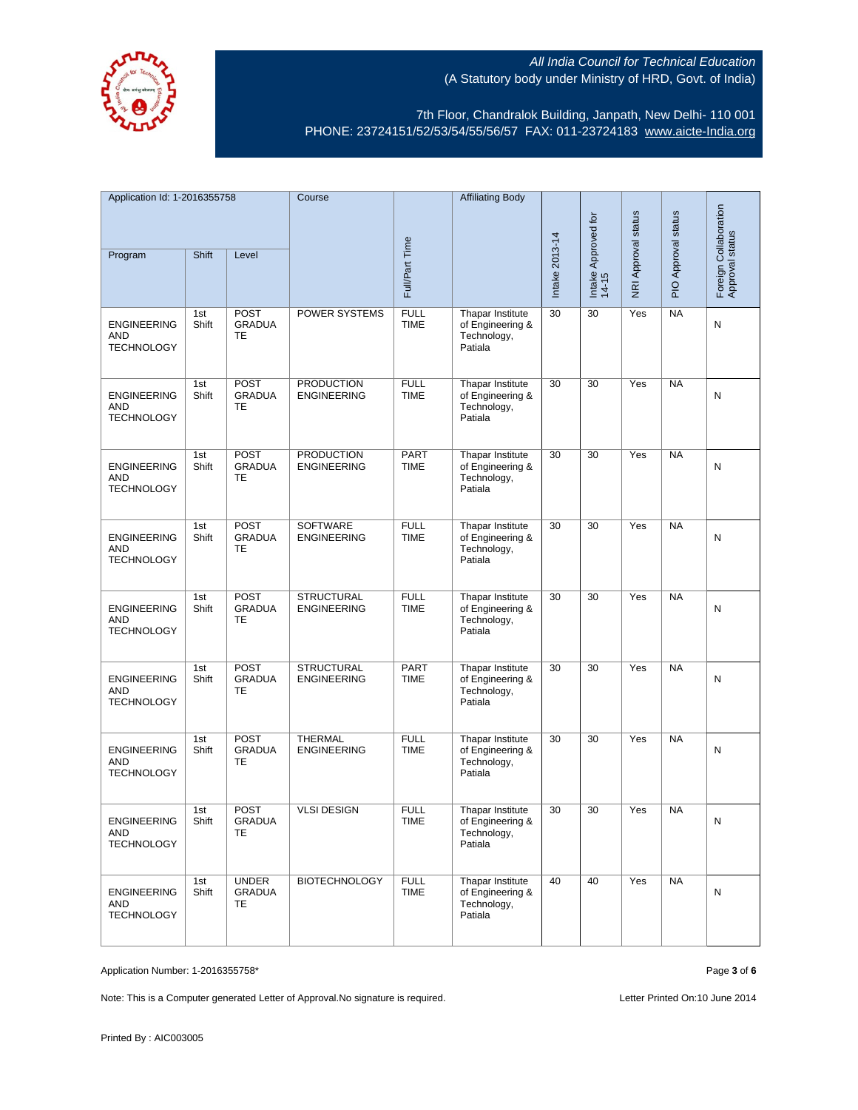

7th Floor, Chandralok Building, Janpath, New Delhi- 110 001 PHONE: 23724151/52/53/54/55/56/57 FAX: 011-23724183 [www.aicte-India.org](http://www.aicte-india.org/)

| Application Id: 1-2016355758                          |              | Course                                    |                                         | <b>Affiliating Body</b>    |                                                                |                |                              |                     |                     |                                          |
|-------------------------------------------------------|--------------|-------------------------------------------|-----------------------------------------|----------------------------|----------------------------------------------------------------|----------------|------------------------------|---------------------|---------------------|------------------------------------------|
| Program                                               | Shift        | Level                                     |                                         | Full/Part Time             |                                                                | Intake 2013-14 | Intake Approved for<br>14-15 | NRI Approval status | PIO Approval status | Foreign Collaboration<br>Approval status |
| <b>ENGINEERING</b><br><b>AND</b><br><b>TECHNOLOGY</b> | 1st<br>Shift | <b>POST</b><br><b>GRADUA</b><br><b>TE</b> | POWER SYSTEMS                           | <b>FULL</b><br><b>TIME</b> | Thapar Institute<br>of Engineering &<br>Technology,<br>Patiala | 30             | 30                           | Yes                 | <b>NA</b>           | N                                        |
| <b>ENGINEERING</b><br>AND<br><b>TECHNOLOGY</b>        | 1st<br>Shift | <b>POST</b><br><b>GRADUA</b><br>TE        | <b>PRODUCTION</b><br><b>ENGINEERING</b> | <b>FULL</b><br><b>TIME</b> | Thapar Institute<br>of Engineering &<br>Technology,<br>Patiala | 30             | 30                           | Yes                 | <b>NA</b>           | N                                        |
| <b>ENGINEERING</b><br>AND<br><b>TECHNOLOGY</b>        | 1st<br>Shift | <b>POST</b><br><b>GRADUA</b><br>TE        | <b>PRODUCTION</b><br><b>ENGINEERING</b> | PART<br><b>TIME</b>        | Thapar Institute<br>of Engineering &<br>Technology,<br>Patiala | 30             | 30                           | Yes                 | <b>NA</b>           | N                                        |
| <b>ENGINEERING</b><br><b>AND</b><br><b>TECHNOLOGY</b> | 1st<br>Shift | <b>POST</b><br><b>GRADUA</b><br>TE        | <b>SOFTWARE</b><br><b>ENGINEERING</b>   | <b>FULL</b><br><b>TIME</b> | Thapar Institute<br>of Engineering &<br>Technology,<br>Patiala | 30             | 30                           | Yes                 | <b>NA</b>           | N                                        |
| <b>ENGINEERING</b><br><b>AND</b><br><b>TECHNOLOGY</b> | 1st<br>Shift | <b>POST</b><br><b>GRADUA</b><br>TE        | <b>STRUCTURAL</b><br><b>ENGINEERING</b> | <b>FULL</b><br><b>TIME</b> | Thapar Institute<br>of Engineering &<br>Technology,<br>Patiala | 30             | 30                           | Yes                 | <b>NA</b>           | N                                        |
| <b>ENGINEERING</b><br>AND<br><b>TECHNOLOGY</b>        | 1st<br>Shift | <b>POST</b><br><b>GRADUA</b><br>TE        | <b>STRUCTURAL</b><br><b>ENGINEERING</b> | PART<br><b>TIME</b>        | Thapar Institute<br>of Engineering &<br>Technology,<br>Patiala | 30             | 30                           | Yes                 | <b>NA</b>           | N                                        |
| <b>ENGINEERING</b><br>AND<br><b>TECHNOLOGY</b>        | 1st<br>Shift | <b>POST</b><br><b>GRADUA</b><br>TE        | <b>THERMAL</b><br><b>ENGINEERING</b>    | <b>FULL</b><br><b>TIME</b> | Thapar Institute<br>of Engineering &<br>Technology,<br>Patiala | 30             | 30                           | Yes                 | <b>NA</b>           | N                                        |
| <b>ENGINEERING</b><br>AND<br><b>TECHNOLOGY</b>        | 1st<br>Shift | <b>POST</b><br>GRADUA<br>TE.              | <b>VLSI DESIGN</b>                      | <b>FULL</b><br>TIME        | Thapar Institute<br>of Engineering &<br>Technology,<br>Patiala | 30             | 30                           | Yes                 | <b>NA</b>           | N                                        |
| <b>ENGINEERING</b><br><b>AND</b><br><b>TECHNOLOGY</b> | 1st<br>Shift | <b>UNDER</b><br><b>GRADUA</b><br>TE       | <b>BIOTECHNOLOGY</b>                    | <b>FULL</b><br><b>TIME</b> | Thapar Institute<br>of Engineering &<br>Technology,<br>Patiala | 40             | 40                           | Yes                 | <b>NA</b>           | N                                        |

Application Number: 1-2016355758\* Page **3** of **6**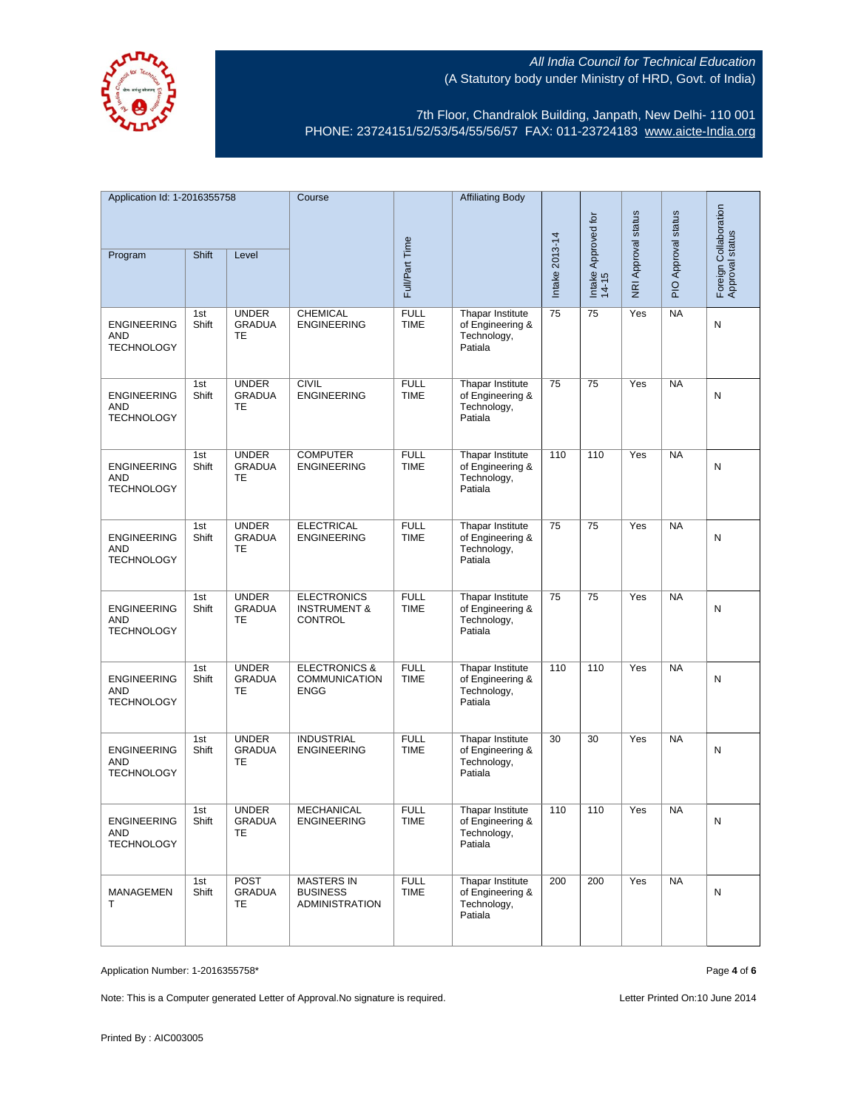

7th Floor, Chandralok Building, Janpath, New Delhi- 110 001 PHONE: 23724151/52/53/54/55/56/57 FAX: 011-23724183 [www.aicte-India.org](http://www.aicte-india.org/)

| Application Id: 1-2016355758                          |              | Course                                     |                                                                 | <b>Affiliating Body</b>    |                                                                       |                |                              |                     |                     |                                          |
|-------------------------------------------------------|--------------|--------------------------------------------|-----------------------------------------------------------------|----------------------------|-----------------------------------------------------------------------|----------------|------------------------------|---------------------|---------------------|------------------------------------------|
| Program                                               | Shift        | Level                                      |                                                                 | Full/Part Time             |                                                                       | Intake 2013-14 | Intake Approved for<br>14-15 | NRI Approval status | PIO Approval status | Foreign Collaboration<br>Approval status |
| <b>ENGINEERING</b><br>AND<br><b>TECHNOLOGY</b>        | 1st<br>Shift | <b>UNDER</b><br><b>GRADUA</b><br>TE        | <b>CHEMICAL</b><br><b>ENGINEERING</b>                           | <b>FULL</b><br><b>TIME</b> | Thapar Institute<br>of Engineering &<br>Technology,<br>Patiala        | 75             | 75                           | Yes                 | <b>NA</b>           | N                                        |
| <b>ENGINEERING</b><br>AND<br><b>TECHNOLOGY</b>        | 1st<br>Shift | <b>UNDER</b><br><b>GRADUA</b><br>TE        | <b>CIVIL</b><br><b>ENGINEERING</b>                              | <b>FULL</b><br><b>TIME</b> | Thapar Institute<br>of Engineering &<br>Technology,<br>Patiala        | 75             | 75                           | Yes                 | <b>NA</b>           | N                                        |
| <b>ENGINEERING</b><br><b>AND</b><br><b>TECHNOLOGY</b> | 1st<br>Shift | <b>UNDER</b><br><b>GRADUA</b><br>TE        | <b>COMPUTER</b><br><b>ENGINEERING</b>                           | <b>FULL</b><br><b>TIME</b> | Thapar Institute<br>of Engineering &<br>Technology,<br>Patiala        | 110            | 110                          | Yes                 | <b>NA</b>           | N                                        |
| <b>ENGINEERING</b><br><b>AND</b><br><b>TECHNOLOGY</b> | 1st<br>Shift | <b>UNDER</b><br><b>GRADUA</b><br><b>TE</b> | <b>ELECTRICAL</b><br><b>ENGINEERING</b>                         | <b>FULL</b><br><b>TIME</b> | Thapar Institute<br>of Engineering &<br>Technology,<br>Patiala        | 75             | 75                           | Yes                 | <b>NA</b>           | N                                        |
| <b>ENGINEERING</b><br>AND<br><b>TECHNOLOGY</b>        | 1st<br>Shift | <b>UNDER</b><br><b>GRADUA</b><br>TE        | <b>ELECTRONICS</b><br><b>INSTRUMENT &amp;</b><br><b>CONTROL</b> | <b>FULL</b><br><b>TIME</b> | Thapar Institute<br>of Engineering &<br>Technology,<br>Patiala        | 75             | 75                           | Yes                 | <b>NA</b>           | Ν                                        |
| <b>ENGINEERING</b><br><b>AND</b><br><b>TECHNOLOGY</b> | 1st<br>Shift | <b>UNDER</b><br><b>GRADUA</b><br>TE        | <b>ELECTRONICS &amp;</b><br><b>COMMUNICATION</b><br><b>ENGG</b> | <b>FULL</b><br><b>TIME</b> | Thapar Institute<br>of Engineering &<br>Technology,<br>Patiala        | 110            | 110                          | Yes                 | <b>NA</b>           | N                                        |
| <b>ENGINEERING</b><br>AND<br><b>TECHNOLOGY</b>        | 1st<br>Shift | <b>UNDER</b><br><b>GRADUA</b><br>TE        | <b>INDUSTRIAL</b><br><b>ENGINEERING</b>                         | <b>FULL</b><br><b>TIME</b> | Thapar Institute<br>of Engineering &<br>Technology,<br>Patiala        | 30             | 30                           | Yes                 | <b>NA</b>           | N                                        |
| ENGINEERING<br>AND<br><b>TECHNOLOGY</b>               | 1st<br>Shift | <b>UNDER</b><br><b>GRADUA</b><br>TE        | <b>MECHANICAL</b><br><b>ENGINEERING</b>                         | <b>FULL</b><br><b>IIME</b> | <b>Thapar Institute</b><br>of Engineering &<br>Technology,<br>Patiala | 110            | 110                          | Yes                 | <b>NA</b>           | N                                        |
| MANAGEMEN<br>Τ                                        | 1st<br>Shift | <b>POST</b><br><b>GRADUA</b><br>TE         | <b>MASTERS IN</b><br><b>BUSINESS</b><br><b>ADMINISTRATION</b>   | <b>FULL</b><br><b>TIME</b> | Thapar Institute<br>of Engineering &<br>Technology,<br>Patiala        | 200            | 200                          | Yes                 | <b>NA</b>           | N                                        |

Application Number: 1-2016355758\* Page **4** of **6**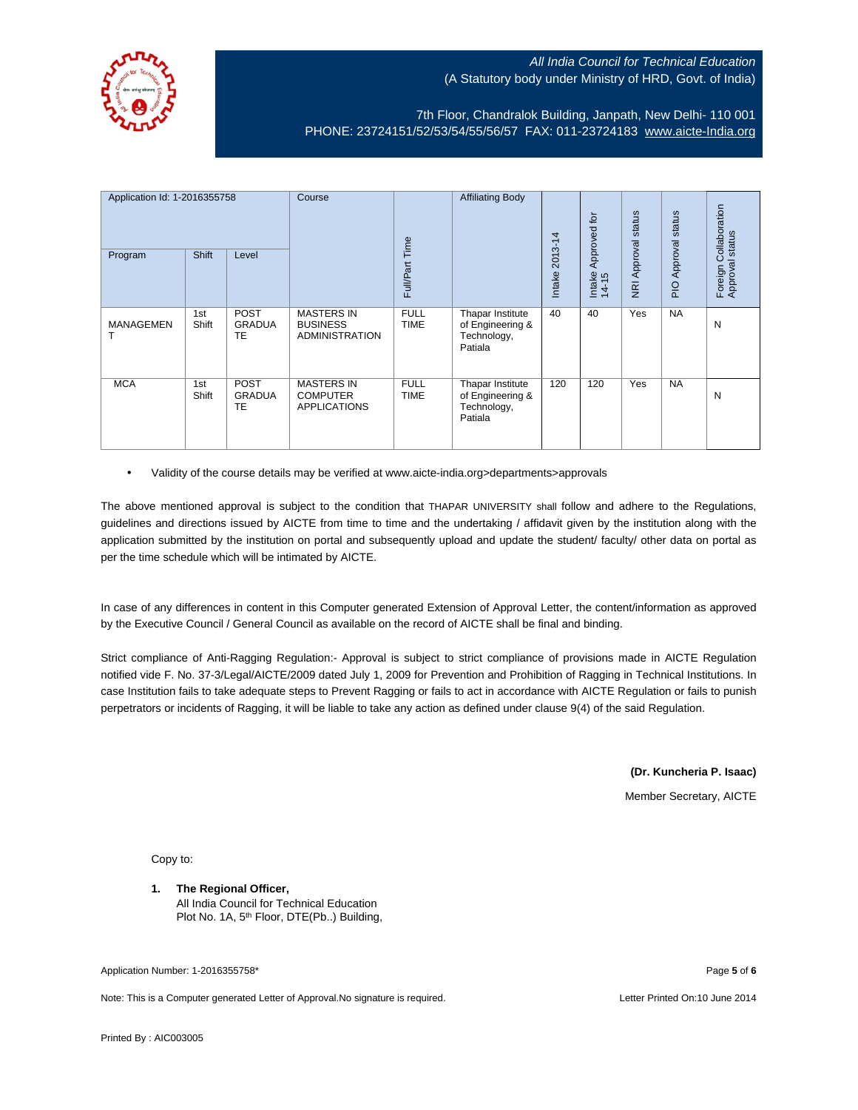

7th Floor, Chandralok Building, Janpath, New Delhi- 110 001 PHONE: 23724151/52/53/54/55/56/57 FAX: 011-23724183 [www.aicte-India.org](http://www.aicte-india.org/)

| Application Id: 1-2016355758<br>Program | <b>Shift</b> | Level                       | Course                                                        | Full/Part Time             | <b>Affiliating Body</b>                                        | 4<br>$2013 - 1$<br>Intake | Approved for<br>Intake<br>14-15 | status<br>Approval<br>$\overline{g}$ | status<br>Approval<br><b>DI</b> | ollaboration<br>status<br>ပ<br>Foreign C<br>Approval s |
|-----------------------------------------|--------------|-----------------------------|---------------------------------------------------------------|----------------------------|----------------------------------------------------------------|---------------------------|---------------------------------|--------------------------------------|---------------------------------|--------------------------------------------------------|
| <b>MANAGEMEN</b>                        | 1st<br>Shift | POST<br><b>GRADUA</b><br>TE | <b>MASTERS IN</b><br><b>BUSINESS</b><br><b>ADMINISTRATION</b> | <b>FULL</b><br><b>TIME</b> | Thapar Institute<br>of Engineering &<br>Technology,<br>Patiala | 40                        | 40                              | Yes                                  | <b>NA</b>                       | N                                                      |
| <b>MCA</b>                              | 1st<br>Shift | POST<br><b>GRADUA</b><br>TE | <b>MASTERS IN</b><br><b>COMPUTER</b><br><b>APPLICATIONS</b>   | <b>FULL</b><br><b>TIME</b> | Thapar Institute<br>of Engineering &<br>Technology,<br>Patiala | 120                       | 120                             | Yes                                  | <b>NA</b>                       | N                                                      |

• Validity of the course details may be verified at www.aicte-india.org>departments>approvals

The above mentioned approval is subject to the condition that THAPAR UNIVERSITY shall follow and adhere to the Regulations, guidelines and directions issued by AICTE from time to time and the undertaking / affidavit given by the institution along with the application submitted by the institution on portal and subsequently upload and update the student/ faculty/ other data on portal as per the time schedule which will be intimated by AICTE.

In case of any differences in content in this Computer generated Extension of Approval Letter, the content/information as approved by the Executive Council / General Council as available on the record of AICTE shall be final and binding.

Strict compliance of Anti-Ragging Regulation:- Approval is subject to strict compliance of provisions made in AICTE Regulation notified vide F. No. 37-3/Legal/AICTE/2009 dated July 1, 2009 for Prevention and Prohibition of Ragging in Technical Institutions. In case Institution fails to take adequate steps to Prevent Ragging or fails to act in accordance with AICTE Regulation or fails to punish perpetrators or incidents of Ragging, it will be liable to take any action as defined under clause 9(4) of the said Regulation.

**(Dr. Kuncheria P. Isaac)**

Member Secretary, AICTE

Copy to:

### **1. The Regional Officer,**

All India Council for Technical Education Plot No. 1A, 5<sup>th</sup> Floor, DTE(Pb..) Building,

Application Number: 1-2016355758\* Page **5** of **6**

Note: This is a Computer generated Letter of Approval.No signature is required. Letter According the state of the Printed On:10 June 2014